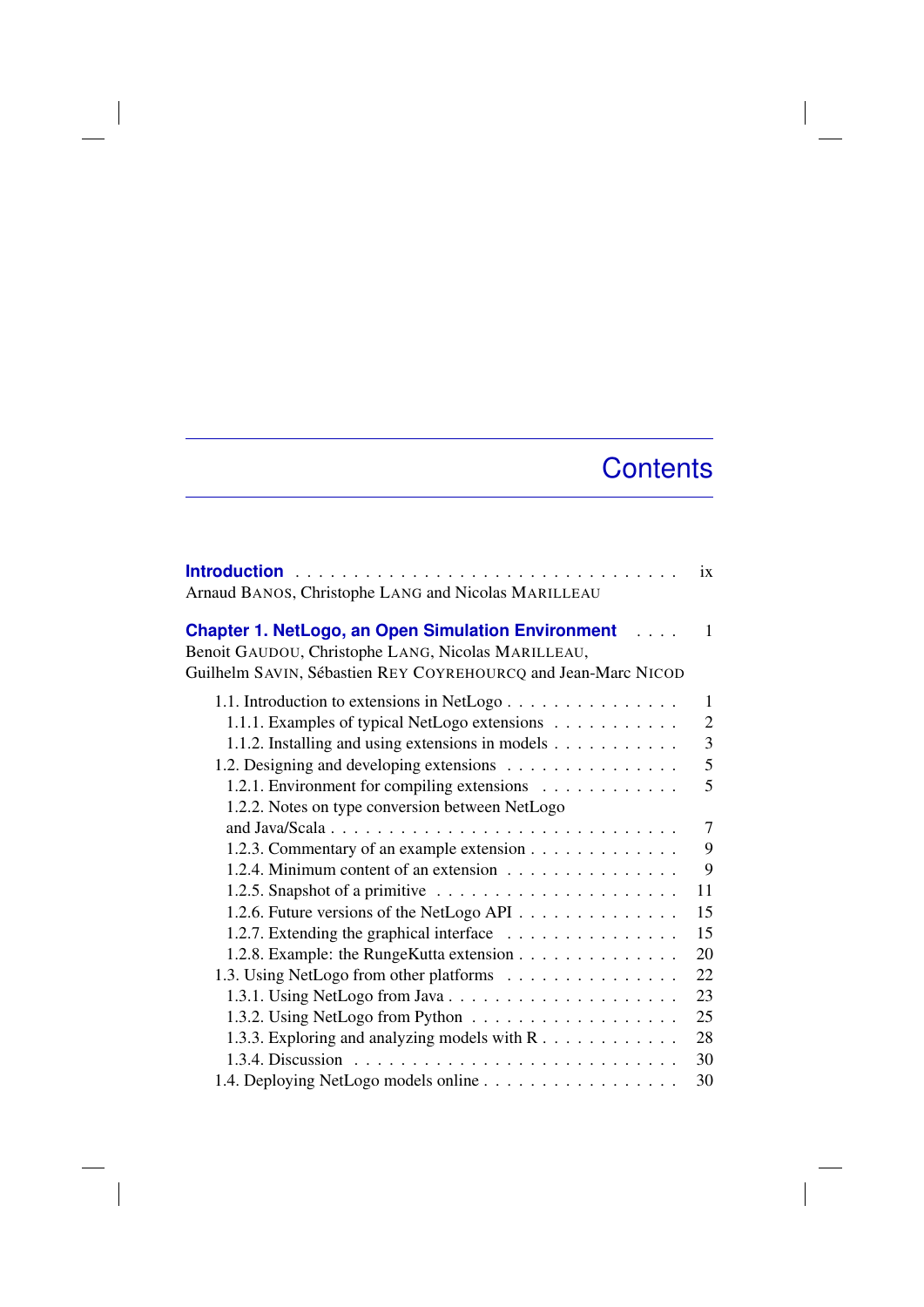## **Contents**

| Arnaud BANOS, Christophe LANG and Nicolas MARILLEAU                                                                                                                                             | ix             |
|-------------------------------------------------------------------------------------------------------------------------------------------------------------------------------------------------|----------------|
| <b>Chapter 1. NetLogo, an Open Simulation Environment</b><br>in Libraria<br>Benoit GAUDOU, Christophe LANG, Nicolas MARILLEAU,<br>Guilhelm SAVIN, Sébastien REY COYREHOURCQ and Jean-Marc NICOD | 1              |
| 1.1. Introduction to extensions in NetLogo                                                                                                                                                      | 1              |
| 1.1.1. Examples of typical NetLogo extensions                                                                                                                                                   | $\overline{2}$ |
| 1.1.2. Installing and using extensions in models                                                                                                                                                | 3              |
| 1.2. Designing and developing extensions                                                                                                                                                        | 5              |
| 1.2.1. Environment for compiling extensions                                                                                                                                                     | 5              |
| 1.2.2. Notes on type conversion between NetLogo                                                                                                                                                 |                |
|                                                                                                                                                                                                 | 7              |
| 1.2.3. Commentary of an example extension                                                                                                                                                       | 9              |
| 1.2.4. Minimum content of an extension                                                                                                                                                          | 9              |
|                                                                                                                                                                                                 | 11             |
| 1.2.6. Future versions of the NetLogo API                                                                                                                                                       | 15             |
| 1.2.7. Extending the graphical interface                                                                                                                                                        | 15             |
| 1.2.8. Example: the RungeKutta extension                                                                                                                                                        | 20             |
| 1.3. Using NetLogo from other platforms                                                                                                                                                         | 22             |
| 1.3.1. Using NetLogo from Java                                                                                                                                                                  | 23             |
|                                                                                                                                                                                                 | 25             |
| 1.3.3. Exploring and analyzing models with R                                                                                                                                                    | 28             |
| 1.3.4. Discussion.                                                                                                                                                                              | 30             |
| 1.4. Deploving NetLogo models online                                                                                                                                                            | 30             |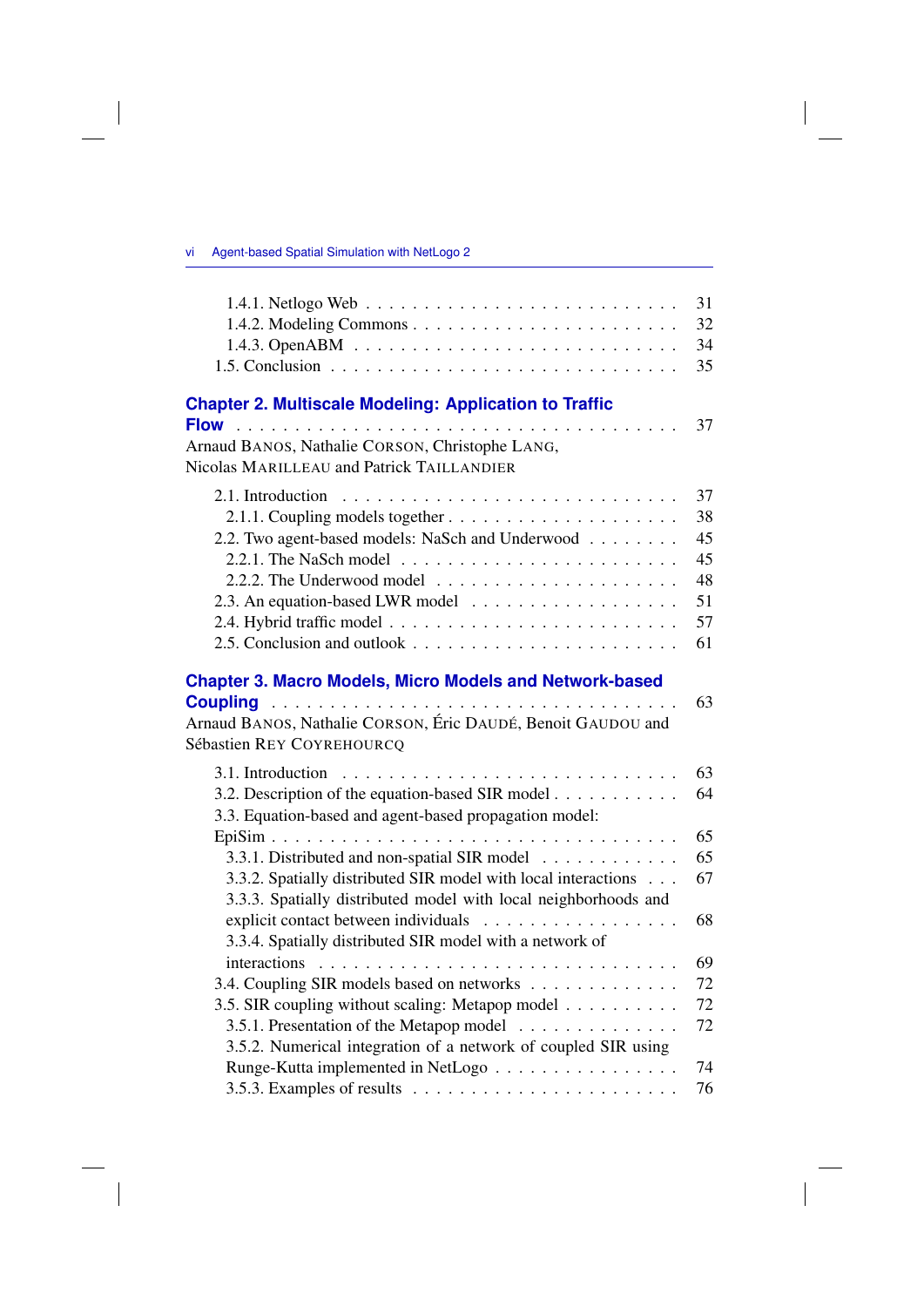## vi Agent-based Spatial Simulation with NetLogo 2

 $\overline{\phantom{a}}$ 

 $\begin{array}{c} \hline \end{array}$ 

|                                                                                                                                                                                                         | 31<br>32<br>34<br>35                         |
|---------------------------------------------------------------------------------------------------------------------------------------------------------------------------------------------------------|----------------------------------------------|
| <b>Chapter 2. Multiscale Modeling: Application to Traffic</b>                                                                                                                                           | 37                                           |
| Arnaud BANOS, Nathalie CORSON, Christophe LANG,<br>Nicolas MARILLEAU and Patrick TAILLANDIER                                                                                                            |                                              |
| 2.2. Two agent-based models: NaSch and Underwood<br>2.2.1. The NaSch model $\ldots \ldots \ldots \ldots \ldots \ldots \ldots$<br>2.2.2. The Underwood model $\ldots \ldots \ldots \ldots \ldots \ldots$ | 37<br>38<br>45<br>45<br>48<br>51<br>57<br>61 |
| <b>Chapter 3. Macro Models, Micro Models and Network-based</b><br>Arnaud BANOS, Nathalie CORSON, Éric DAUDÉ, Benoit GAUDOU and<br>Sébastien REY COYREHOURCQ                                             | 63                                           |
| 3.2. Description of the equation-based SIR model<br>3.3. Equation-based and agent-based propagation model:                                                                                              | 63<br>64                                     |
|                                                                                                                                                                                                         | 65                                           |
| 3.3.1. Distributed and non-spatial SIR model                                                                                                                                                            | 65                                           |
| 3.3.2. Spatially distributed SIR model with local interactions<br>3.3.3. Spatially distributed model with local neighborhoods and                                                                       | 67                                           |
| explicit contact between individuals<br>3.3.4. Spatially distributed SIR model with a network of                                                                                                        | 68                                           |
|                                                                                                                                                                                                         | 69                                           |
| 3.4. Coupling SIR models based on networks                                                                                                                                                              | 72                                           |
| 3.5. SIR coupling without scaling: Metapop model                                                                                                                                                        | 72                                           |
| 3.5.1. Presentation of the Metapop model<br>3.5.2. Numerical integration of a network of coupled SIR using                                                                                              | 72                                           |
| Runge-Kutta implemented in NetLogo                                                                                                                                                                      | 74                                           |
| 3.5.3. Examples of results $\ldots \ldots \ldots \ldots \ldots \ldots \ldots$                                                                                                                           | 76                                           |

 $\overline{\phantom{a}}$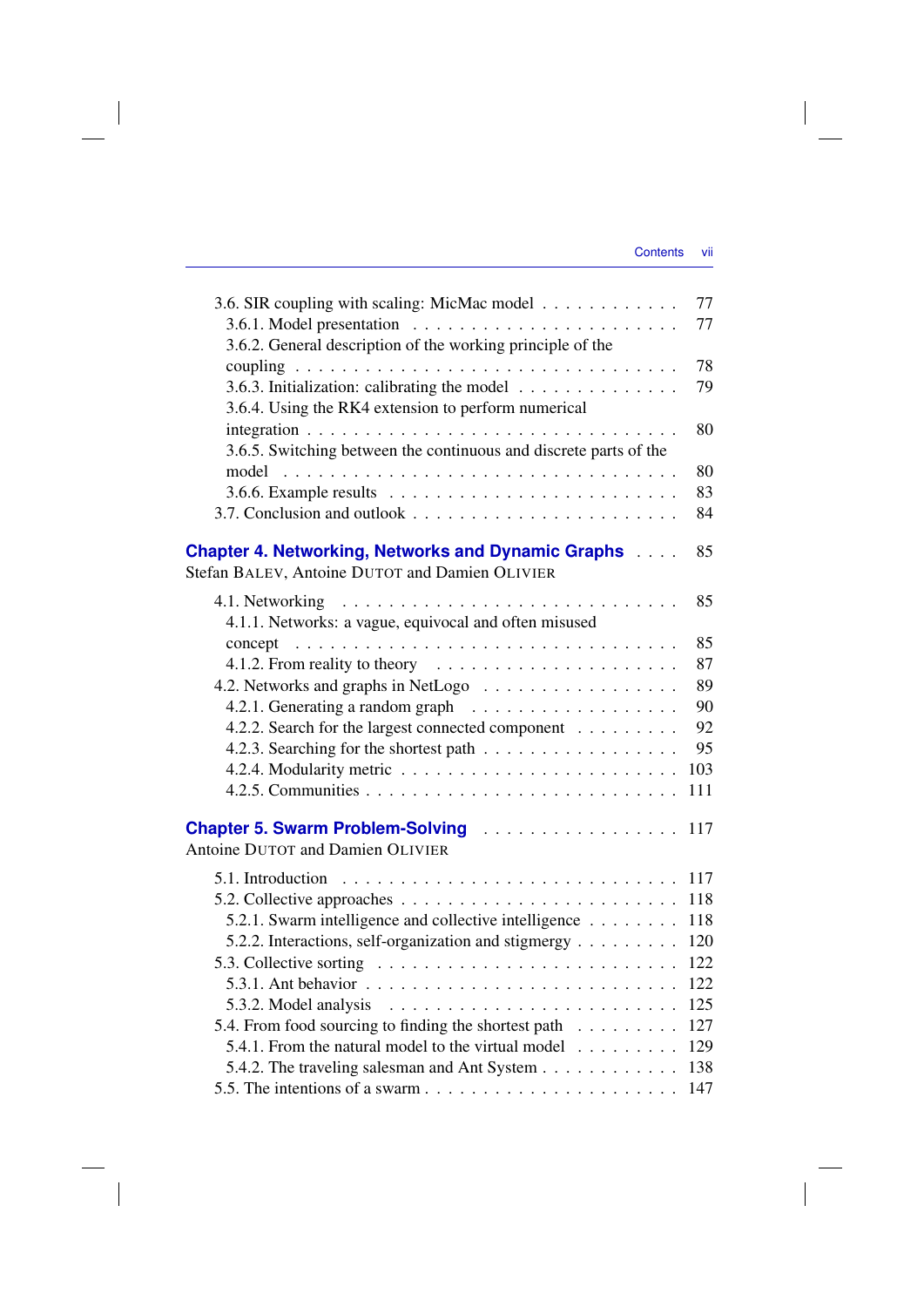| Contents |  | VII |
|----------|--|-----|
|          |  |     |

| 3.6. SIR coupling with scaling: MicMac model                                                        | 77<br>77 |
|-----------------------------------------------------------------------------------------------------|----------|
| 3.6.2. General description of the working principle of the                                          |          |
|                                                                                                     | 78       |
| 3.6.3. Initialization: calibrating the model<br>3.6.4. Using the RK4 extension to perform numerical | 79       |
|                                                                                                     | 80       |
| 3.6.5. Switching between the continuous and discrete parts of the                                   |          |
|                                                                                                     | 80       |
|                                                                                                     | 83       |
|                                                                                                     | 84       |
| <b>Chapter 4. Networking, Networks and Dynamic Graphs </b>                                          | 85       |
| Stefan BALEV, Antoine DUTOT and Damien OLIVIER                                                      |          |
|                                                                                                     | 85       |
| 4.1.1. Networks: a vague, equivocal and often misused                                               |          |
| concept                                                                                             | 85       |
| 4.1.2. From reality to theory                                                                       | 87       |
| 4.2. Networks and graphs in NetLogo                                                                 | 89       |
|                                                                                                     | 90       |
| 4.2.2. Search for the largest connected component                                                   | 92       |
| 4.2.3. Searching for the shortest path                                                              | 95       |
|                                                                                                     | 103      |
|                                                                                                     | 111      |
|                                                                                                     |          |
| <b>Chapter 5. Swarm Problem-Solving Actual Lines Chapter 5. Swarm Problem-Solving</b>               | 117      |
| Antoine DUTOT and Damien OLIVIER                                                                    |          |
| 5.1. Introduction $\ldots \ldots \ldots \ldots \ldots \ldots \ldots \ldots \ldots \ldots$           | 117      |
|                                                                                                     | 118      |
| 5.2.1. Swarm intelligence and collective intelligence                                               | 118      |
| 5.2.2. Interactions, self-organization and stigmergy                                                | 120      |
| 5.3. Collective sorting $\ldots \ldots \ldots \ldots \ldots \ldots \ldots \ldots$                   | 122      |
| 5.3.1. Ant behavior $\ldots \ldots \ldots \ldots \ldots \ldots \ldots \ldots \ldots$                | 122      |
| 5.3.2. Model analysis                                                                               | 125      |
| 5.4. From food sourcing to finding the shortest path                                                | 127      |
| 5.4.1. From the natural model to the virtual model                                                  | 129      |
| 5.4.2. The traveling salesman and Ant System                                                        | 138      |
|                                                                                                     | 147      |

 $\overline{\phantom{a}}$